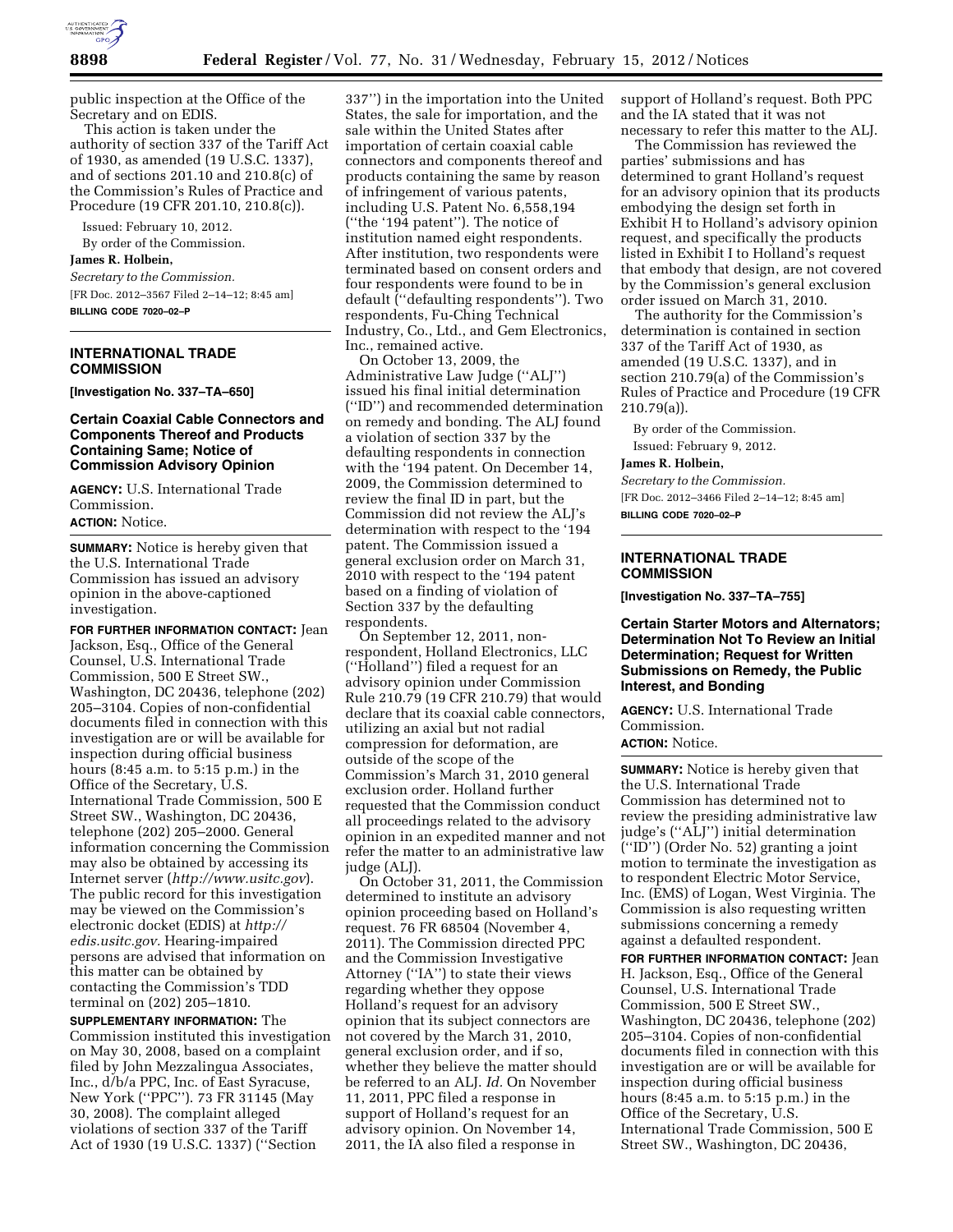

public inspection at the Office of the Secretary and on EDIS.

This action is taken under the authority of section 337 of the Tariff Act of 1930, as amended (19 U.S.C. 1337), and of sections 201.10 and 210.8(c) of the Commission's Rules of Practice and Procedure (19 CFR 201.10, 210.8(c)).

Issued: February 10, 2012. By order of the Commission.

#### **James R. Holbein,**

*Secretary to the Commission.*  [FR Doc. 2012–3567 Filed 2–14–12; 8:45 am] **BILLING CODE 7020–02–P** 

## **INTERNATIONAL TRADE COMMISSION**

**[Investigation No. 337–TA–650]** 

#### **Certain Coaxial Cable Connectors and Components Thereof and Products Containing Same; Notice of Commission Advisory Opinion**

**AGENCY:** U.S. International Trade Commission.

## **ACTION:** Notice.

**SUMMARY:** Notice is hereby given that the U.S. International Trade Commission has issued an advisory opinion in the above-captioned investigation.

**FOR FURTHER INFORMATION CONTACT:** Jean Jackson, Esq., Office of the General Counsel, U.S. International Trade Commission, 500 E Street SW., Washington, DC 20436, telephone (202) 205–3104. Copies of non-confidential documents filed in connection with this investigation are or will be available for inspection during official business hours (8:45 a.m. to 5:15 p.m.) in the Office of the Secretary, U.S. International Trade Commission, 500 E Street SW., Washington, DC 20436, telephone (202) 205–2000. General information concerning the Commission may also be obtained by accessing its Internet server (*<http://www.usitc.gov>*). The public record for this investigation may be viewed on the Commission's electronic docket (EDIS) at *[http://](http://edis.usitc.gov)*   $edis.usitc.gov.$  Hearing-impaired persons are advised that information on this matter can be obtained by contacting the Commission's TDD terminal on (202) 205–1810.

**SUPPLEMENTARY INFORMATION:** The Commission instituted this investigation on May 30, 2008, based on a complaint filed by John Mezzalingua Associates, Inc., d/b/a PPC, Inc. of East Syracuse, New York (''PPC''). 73 FR 31145 (May 30, 2008). The complaint alleged violations of section 337 of the Tariff Act of 1930 (19 U.S.C. 1337) (''Section

337'') in the importation into the United States, the sale for importation, and the sale within the United States after importation of certain coaxial cable connectors and components thereof and products containing the same by reason of infringement of various patents, including U.S. Patent No. 6,558,194 (''the '194 patent''). The notice of institution named eight respondents. After institution, two respondents were terminated based on consent orders and four respondents were found to be in default (''defaulting respondents''). Two respondents, Fu-Ching Technical Industry, Co., Ltd., and Gem Electronics, Inc., remained active.

On October 13, 2009, the Administrative Law Judge (''ALJ'') issued his final initial determination (''ID'') and recommended determination on remedy and bonding. The ALJ found a violation of section 337 by the defaulting respondents in connection with the '194 patent. On December 14, 2009, the Commission determined to review the final ID in part, but the Commission did not review the ALJ's determination with respect to the '194 patent. The Commission issued a general exclusion order on March 31, 2010 with respect to the '194 patent based on a finding of violation of Section 337 by the defaulting respondents.

On September 12, 2011, nonrespondent, Holland Electronics, LLC (''Holland'') filed a request for an advisory opinion under Commission Rule 210.79 (19 CFR 210.79) that would declare that its coaxial cable connectors, utilizing an axial but not radial compression for deformation, are outside of the scope of the Commission's March 31, 2010 general exclusion order. Holland further requested that the Commission conduct all proceedings related to the advisory opinion in an expedited manner and not refer the matter to an administrative law judge (ALJ).

On October 31, 2011, the Commission determined to institute an advisory opinion proceeding based on Holland's request. 76 FR 68504 (November 4, 2011). The Commission directed PPC and the Commission Investigative Attorney (''IA'') to state their views regarding whether they oppose Holland's request for an advisory opinion that its subject connectors are not covered by the March 31, 2010, general exclusion order, and if so, whether they believe the matter should be referred to an ALJ. *Id.* On November 11, 2011, PPC filed a response in support of Holland's request for an advisory opinion. On November 14, 2011, the IA also filed a response in

support of Holland's request. Both PPC and the IA stated that it was not necessary to refer this matter to the ALJ.

The Commission has reviewed the parties' submissions and has determined to grant Holland's request for an advisory opinion that its products embodying the design set forth in Exhibit H to Holland's advisory opinion request, and specifically the products listed in Exhibit I to Holland's request that embody that design, are not covered by the Commission's general exclusion order issued on March 31, 2010.

The authority for the Commission's determination is contained in section 337 of the Tariff Act of 1930, as amended (19 U.S.C. 1337), and in section 210.79(a) of the Commission's Rules of Practice and Procedure (19 CFR 210.79(a)).

By order of the Commission. Issued: February 9, 2012.

#### **James R. Holbein,**

*Secretary to the Commission.* 

[FR Doc. 2012–3466 Filed 2–14–12; 8:45 am] **BILLING CODE 7020–02–P** 

#### **INTERNATIONAL TRADE COMMISSION**

**[Investigation No. 337–TA–755]** 

**Certain Starter Motors and Alternators; Determination Not To Review an Initial Determination; Request for Written Submissions on Remedy, the Public Interest, and Bonding** 

**AGENCY:** U.S. International Trade Commission. **ACTION:** Notice.

**SUMMARY:** Notice is hereby given that the U.S. International Trade Commission has determined not to review the presiding administrative law judge's (''ALJ'') initial determination (''ID'') (Order No. 52) granting a joint motion to terminate the investigation as to respondent Electric Motor Service, Inc. (EMS) of Logan, West Virginia. The Commission is also requesting written submissions concerning a remedy against a defaulted respondent.

**FOR FURTHER INFORMATION CONTACT:** Jean H. Jackson, Esq., Office of the General Counsel, U.S. International Trade Commission, 500 E Street SW., Washington, DC 20436, telephone (202) 205–3104. Copies of non-confidential documents filed in connection with this investigation are or will be available for inspection during official business hours (8:45 a.m. to 5:15 p.m.) in the Office of the Secretary, U.S. International Trade Commission, 500 E Street SW., Washington, DC 20436,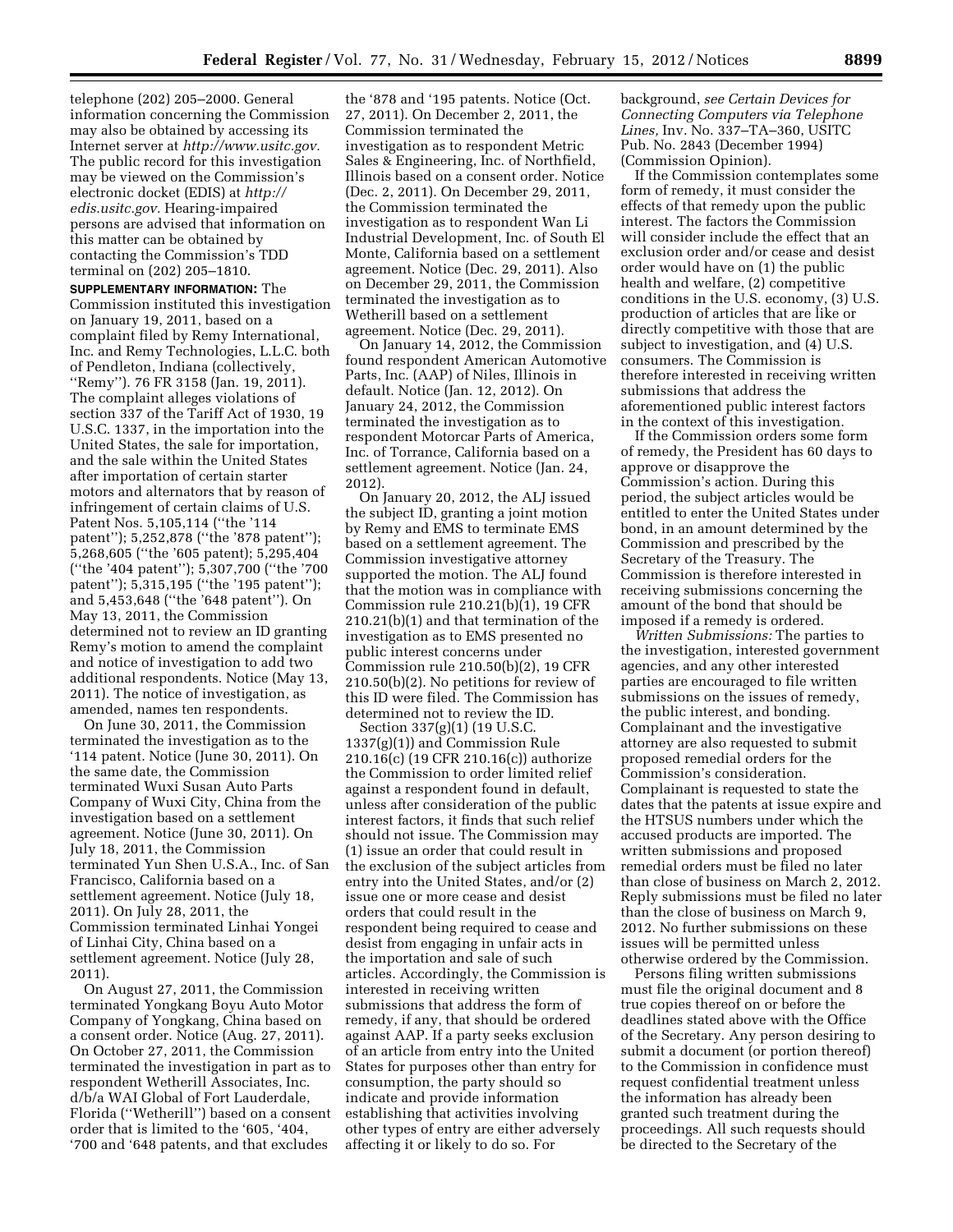telephone (202) 205–2000. General information concerning the Commission may also be obtained by accessing its Internet server at *[http://www.usitc.gov.](http://www.usitc.gov)*  The public record for this investigation may be viewed on the Commission's electronic docket (EDIS) at *[http://](http://edis.usitc.gov)  [edis.usitc.gov.](http://edis.usitc.gov)* Hearing-impaired persons are advised that information on this matter can be obtained by contacting the Commission's TDD terminal on (202) 205–1810.

**SUPPLEMENTARY INFORMATION:** The Commission instituted this investigation on January 19, 2011, based on a complaint filed by Remy International, Inc. and Remy Technologies, L.L.C. both of Pendleton, Indiana (collectively, ''Remy''). 76 FR 3158 (Jan. 19, 2011). The complaint alleges violations of section 337 of the Tariff Act of 1930, 19 U.S.C. 1337, in the importation into the United States, the sale for importation, and the sale within the United States after importation of certain starter motors and alternators that by reason of infringement of certain claims of U.S. Patent Nos. 5,105,114 (''the '114 patent''); 5,252,878 (''the '878 patent''); 5,268,605 (''the '605 patent); 5,295,404 (''the '404 patent''); 5,307,700 (''the '700 patent''); 5,315,195 (''the '195 patent''); and 5,453,648 (''the '648 patent''). On May 13, 2011, the Commission determined not to review an ID granting Remy's motion to amend the complaint and notice of investigation to add two additional respondents. Notice (May 13, 2011). The notice of investigation, as amended, names ten respondents.

On June 30, 2011, the Commission terminated the investigation as to the '114 patent. Notice (June 30, 2011). On the same date, the Commission terminated Wuxi Susan Auto Parts Company of Wuxi City, China from the investigation based on a settlement agreement. Notice (June 30, 2011). On July 18, 2011, the Commission terminated Yun Shen U.S.A., Inc. of San Francisco, California based on a settlement agreement. Notice (July 18, 2011). On July 28, 2011, the Commission terminated Linhai Yongei of Linhai City, China based on a settlement agreement. Notice (July 28, 2011).

On August 27, 2011, the Commission terminated Yongkang Boyu Auto Motor Company of Yongkang, China based on a consent order. Notice (Aug. 27, 2011). On October 27, 2011, the Commission terminated the investigation in part as to respondent Wetherill Associates, Inc. d/b/a WAI Global of Fort Lauderdale, Florida (''Wetherill'') based on a consent order that is limited to the '605, '404, '700 and '648 patents, and that excludes

the '878 and '195 patents. Notice (Oct. 27, 2011). On December 2, 2011, the Commission terminated the investigation as to respondent Metric Sales & Engineering, Inc. of Northfield, Illinois based on a consent order. Notice (Dec. 2, 2011). On December 29, 2011, the Commission terminated the investigation as to respondent Wan Li Industrial Development, Inc. of South El Monte, California based on a settlement agreement. Notice (Dec. 29, 2011). Also on December 29, 2011, the Commission terminated the investigation as to Wetherill based on a settlement agreement. Notice (Dec. 29, 2011).

On January 14, 2012, the Commission found respondent American Automotive Parts, Inc. (AAP) of Niles, Illinois in default. Notice (Jan. 12, 2012). On January 24, 2012, the Commission terminated the investigation as to respondent Motorcar Parts of America, Inc. of Torrance, California based on a settlement agreement. Notice (Jan. 24, 2012).

On January 20, 2012, the ALJ issued the subject ID, granting a joint motion by Remy and EMS to terminate EMS based on a settlement agreement. The Commission investigative attorney supported the motion. The ALJ found that the motion was in compliance with Commission rule 210.21(b)(1), 19 CFR 210.21(b)(1) and that termination of the investigation as to EMS presented no public interest concerns under Commission rule 210.50(b)(2), 19 CFR 210.50(b)(2). No petitions for review of this ID were filed. The Commission has determined not to review the ID.

Section 337(g)(1) (19 U.S.C. 1337(g)(1)) and Commission Rule 210.16(c) (19 CFR 210.16(c)) authorize the Commission to order limited relief against a respondent found in default, unless after consideration of the public interest factors, it finds that such relief should not issue. The Commission may (1) issue an order that could result in the exclusion of the subject articles from entry into the United States, and/or (2) issue one or more cease and desist orders that could result in the respondent being required to cease and desist from engaging in unfair acts in the importation and sale of such articles. Accordingly, the Commission is interested in receiving written submissions that address the form of remedy, if any, that should be ordered against AAP. If a party seeks exclusion of an article from entry into the United States for purposes other than entry for consumption, the party should so indicate and provide information establishing that activities involving other types of entry are either adversely affecting it or likely to do so. For

background, *see Certain Devices for Connecting Computers via Telephone Lines,* Inv. No. 337–TA–360, USITC Pub. No. 2843 (December 1994) (Commission Opinion).

If the Commission contemplates some form of remedy, it must consider the effects of that remedy upon the public interest. The factors the Commission will consider include the effect that an exclusion order and/or cease and desist order would have on (1) the public health and welfare, (2) competitive conditions in the U.S. economy, (3) U.S. production of articles that are like or directly competitive with those that are subject to investigation, and (4) U.S. consumers. The Commission is therefore interested in receiving written submissions that address the aforementioned public interest factors in the context of this investigation.

If the Commission orders some form of remedy, the President has 60 days to approve or disapprove the Commission's action. During this period, the subject articles would be entitled to enter the United States under bond, in an amount determined by the Commission and prescribed by the Secretary of the Treasury. The Commission is therefore interested in receiving submissions concerning the amount of the bond that should be imposed if a remedy is ordered.

*Written Submissions:* The parties to the investigation, interested government agencies, and any other interested parties are encouraged to file written submissions on the issues of remedy, the public interest, and bonding. Complainant and the investigative attorney are also requested to submit proposed remedial orders for the Commission's consideration. Complainant is requested to state the dates that the patents at issue expire and the HTSUS numbers under which the accused products are imported. The written submissions and proposed remedial orders must be filed no later than close of business on March 2, 2012. Reply submissions must be filed no later than the close of business on March 9, 2012. No further submissions on these issues will be permitted unless otherwise ordered by the Commission.

Persons filing written submissions must file the original document and 8 true copies thereof on or before the deadlines stated above with the Office of the Secretary. Any person desiring to submit a document (or portion thereof) to the Commission in confidence must request confidential treatment unless the information has already been granted such treatment during the proceedings. All such requests should be directed to the Secretary of the